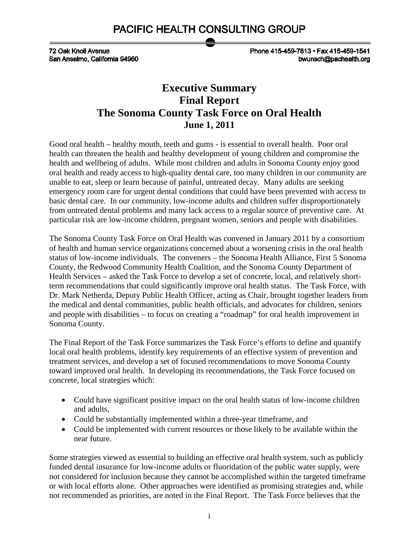72 Oak Knoll Avenue San Anselmo, California 94960 Phone 415-459-7813 · Fax 415-459-1541 bwunsch@pachealth.org

# **Executive Summary Final Report The Sonoma County Task Force on Oral Health June 1, 2011**

Good oral health – healthy mouth, teeth and gums - is essential to overall health. Poor oral health can threaten the health and healthy development of young children and compromise the health and wellbeing of adults. While most children and adults in Sonoma County enjoy good oral health and ready access to high-quality dental care, too many children in our community are unable to eat, sleep or learn because of painful, untreated decay. Many adults are seeking emergency room care for urgent dental conditions that could have been prevented with access to basic dental care. In our community, low-income adults and children suffer disproportionately from untreated dental problems and many lack access to a regular source of preventive care. At particular risk are low-income children, pregnant women, seniors and people with disabilities.

The Sonoma County Task Force on Oral Health was convened in January 2011 by a consortium of health and human service organizations concerned about a worsening crisis in the oral health status of low-income individuals. The conveners – the Sonoma Health Alliance, First 5 Sonoma County, the Redwood Community Health Coalition, and the Sonoma County Department of Health Services – asked the Task Force to develop a set of concrete, local, and relatively shortterm recommendations that could significantly improve oral health status. The Task Force, with Dr. Mark Netherda, Deputy Public Health Officer, acting as Chair, brought together leaders from the medical and dental communities, public health officials, and advocates for children, seniors and people with disabilities – to focus on creating a "roadmap" for oral health improvement in Sonoma County.

The Final Report of the Task Force summarizes the Task Force's efforts to define and quantify local oral health problems, identify key requirements of an effective system of prevention and treatment services, and develop a set of focused recommendations to move Sonoma County toward improved oral health. In developing its recommendations, the Task Force focused on concrete, local strategies which:

- Could have significant positive impact on the oral health status of low-income children and adults,
- Could be substantially implemented within a three-year timeframe, and
- Could be implemented with current resources or those likely to be available within the near future.

Some strategies viewed as essential to building an effective oral health system, such as publicly funded dental insurance for low-income adults or fluoridation of the public water supply, were not considered for inclusion because they cannot be accomplished within the targeted timeframe or with local efforts alone. Other approaches were identified as promising strategies and, while not recommended as priorities, are noted in the Final Report. The Task Force believes that the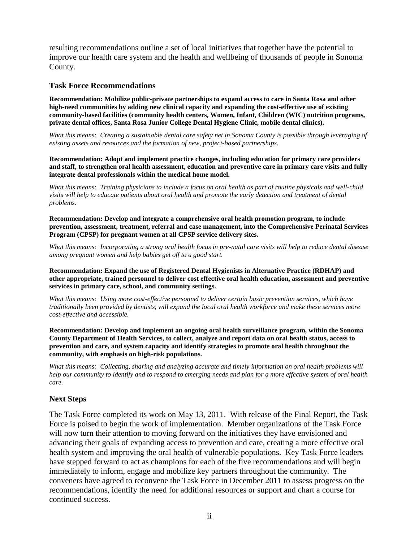resulting recommendations outline a set of local initiatives that together have the potential to improve our health care system and the health and wellbeing of thousands of people in Sonoma County.

#### **Task Force Recommendations**

**Recommendation: Mobilize public-private partnerships to expand access to care in Santa Rosa and other high-need communities by adding new clinical capacity and expanding the cost-effective use of existing community-based facilities (community health centers, Women, Infant, Children (WIC) nutrition programs, private dental offices, Santa Rosa Junior College Dental Hygiene Clinic, mobile dental clinics).** 

*What this means: Creating a sustainable dental care safety net in Sonoma County is possible through leveraging of existing assets and resources and the formation of new, project-based partnerships.*

**Recommendation: Adopt and implement practice changes, including education for primary care providers and staff, to strengthen oral health assessment, education and preventive care in primary care visits and fully integrate dental professionals within the medical home model.** 

*What this means: Training physicians to include a focus on oral health as part of routine physicals and well-child visits will help to educate patients about oral health and promote the early detection and treatment of dental problems.* 

**Recommendation: Develop and integrate a comprehensive oral health promotion program, to include prevention, assessment, treatment, referral and case management, into the Comprehensive Perinatal Services Program (CPSP) for pregnant women at all CPSP service delivery sites.** 

*What this means: Incorporating a strong oral health focus in pre-natal care visits will help to reduce dental disease among pregnant women and help babies get off to a good start.* 

**Recommendation: Expand the use of Registered Dental Hygienists in Alternative Practice (RDHAP) and other appropriate, trained personnel to deliver cost effective oral health education, assessment and preventive services in primary care, school, and community settings.** 

*What this means: Using more cost-effective personnel to deliver certain basic prevention services, which have traditionally been provided by dentists, will expand the local oral health workforce and make these services more cost-effective and accessible.* 

**Recommendation: Develop and implement an ongoing oral health surveillance program, within the Sonoma County Department of Health Services, to collect, analyze and report data on oral health status, access to prevention and care, and system capacity and identify strategies to promote oral health throughout the community, with emphasis on high-risk populations.** 

*What this means: Collecting, sharing and analyzing accurate and timely information on oral health problems will help our community to identify and to respond to emerging needs and plan for a more effective system of oral health care.* 

#### **Next Steps**

The Task Force completed its work on May 13, 2011. With release of the Final Report, the Task Force is poised to begin the work of implementation. Member organizations of the Task Force will now turn their attention to moving forward on the initiatives they have envisioned and advancing their goals of expanding access to prevention and care, creating a more effective oral health system and improving the oral health of vulnerable populations. Key Task Force leaders have stepped forward to act as champions for each of the five recommendations and will begin immediately to inform, engage and mobilize key partners throughout the community. The conveners have agreed to reconvene the Task Force in December 2011 to assess progress on the recommendations, identify the need for additional resources or support and chart a course for continued success.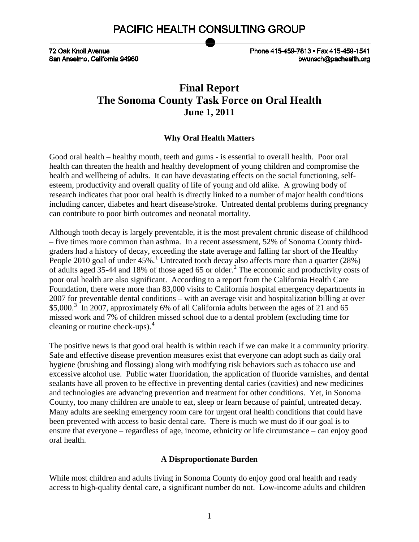72 Oak Knoll Avenue San Anselmo, California 94960 Phone 415-459-7813 · Fax 415-459-1541 bwunsch@pachealth.org

# **Final Report The Sonoma County Task Force on Oral Health June 1, 2011**

### **Why Oral Health Matters**

Good oral health – healthy mouth, teeth and gums - is essential to overall health. Poor oral health can threaten the health and healthy development of young children and compromise the health and wellbeing of adults. It can have devastating effects on the social functioning, selfesteem, productivity and overall quality of life of young and old alike. A growing body of research indicates that poor oral health is directly linked to a number of major health conditions including cancer, diabetes and heart disease/stroke. Untreated dental problems during pregnancy can contribute to poor birth outcomes and neonatal mortality.

Although tooth decay is largely preventable, it is the most prevalent chronic disease of childhood – five times more common than asthma. In a recent assessment, 52% of Sonoma County thirdgraders had a history of decay, exceeding the state average and falling far short of the Healthy People 20[1](#page-15-0)0 goal of under  $45\%$ .<sup>1</sup> Untreated tooth decay also affects more than a quarter (28%) of adults aged 35-44 and 18% of those aged 65 or older.[2](#page-15-1) The economic and productivity costs of poor oral health are also significant. According to a report from the California Health Care Foundation, there were more than 83,000 visits to California hospital emergency departments in 2007 for preventable dental conditions – with an average visit and hospitalization billing at over \$5,000.<sup>[3](#page-15-2)</sup> In 2007, approximately 6% of all California adults between the ages of 21 and 65 missed work and 7% of children missed school due to a dental problem (excluding time for cleaning or routine check-ups).<sup>[4](#page-15-3)</sup>

The positive news is that good oral health is within reach if we can make it a community priority. Safe and effective disease prevention measures exist that everyone can adopt such as daily oral hygiene (brushing and flossing) along with modifying risk behaviors such as tobacco use and excessive alcohol use. Public water fluoridation, the application of fluoride varnishes, and dental sealants have all proven to be effective in preventing dental caries (cavities) and new medicines and technologies are advancing prevention and treatment for other conditions. Yet, in Sonoma County, too many children are unable to eat, sleep or learn because of painful, untreated decay. Many adults are seeking emergency room care for urgent oral health conditions that could have been prevented with access to basic dental care. There is much we must do if our goal is to ensure that everyone – regardless of age, income, ethnicity or life circumstance – can enjoy good oral health.

### **A Disproportionate Burden**

While most children and adults living in Sonoma County do enjoy good oral health and ready access to high-quality dental care, a significant number do not. Low-income adults and children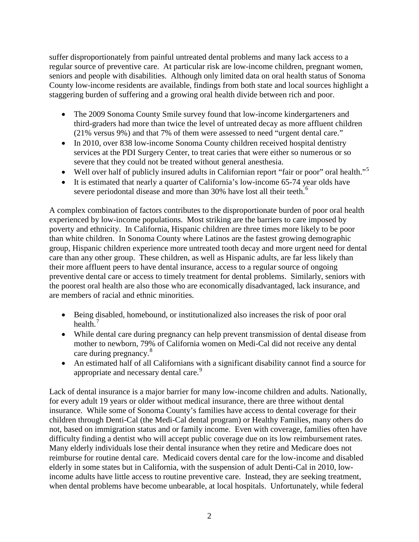suffer disproportionately from painful untreated dental problems and many lack access to a regular source of preventive care. At particular risk are low-income children, pregnant women, seniors and people with disabilities. Although only limited data on oral health status of Sonoma County low-income residents are available, findings from both state and local sources highlight a staggering burden of suffering and a growing oral health divide between rich and poor.

- The 2009 Sonoma County Smile survey found that low-income kindergarteners and third-graders had more than twice the level of untreated decay as more affluent children (21% versus 9%) and that 7% of them were assessed to need "urgent dental care."
- In 2010, over 838 low-income Sonoma County children received hospital dentistry services at the PDI Surgery Center, to treat caries that were either so numerous or so severe that they could not be treated without general anesthesia.
- Well over half of publicly insured adults in Californian report "fair or poor" oral health."<sup>[5](#page-15-4)</sup>
- It is estimated that nearly a quarter of California's low-income 65-74 year olds have severe periodontal disease and more than 30% have lost all their teeth.<sup>[6](#page-15-5)</sup>

A complex combination of factors contributes to the disproportionate burden of poor oral health experienced by low-income populations. Most striking are the barriers to care imposed by poverty and ethnicity. In California, Hispanic children are three times more likely to be poor than white children. In Sonoma County where Latinos are the fastest growing demographic group, Hispanic children experience more untreated tooth decay and more urgent need for dental care than any other group. These children, as well as Hispanic adults, are far less likely than their more affluent peers to have dental insurance, access to a regular source of ongoing preventive dental care or access to timely treatment for dental problems. Similarly, seniors with the poorest oral health are also those who are economically disadvantaged, lack insurance, and are members of racial and ethnic minorities.

- Being disabled, homebound, or institutionalized also increases the risk of poor oral health.<sup>[7](#page-15-6)</sup>
- While dental care during pregnancy can help prevent transmission of dental disease from mother to newborn, 79% of California women on Medi-Cal did not receive any dental care during pregnancy.<sup>[8](#page-15-7)</sup>
- An estimated half of all Californians with a significant disability cannot find a source for appropriate and necessary dental care.<sup>[9](#page-15-8)</sup>

Lack of dental insurance is a major barrier for many low-income children and adults. Nationally, for every adult 19 years or older without medical insurance, there are three without dental insurance. While some of Sonoma County's families have access to dental coverage for their children through Denti-Cal (the Medi-Cal dental program) or Healthy Families, many others do not, based on immigration status and or family income. Even with coverage, families often have difficulty finding a dentist who will accept public coverage due on its low reimbursement rates. Many elderly individuals lose their dental insurance when they retire and Medicare does not reimburse for routine dental care. Medicaid covers dental care for the low-income and disabled elderly in some states but in California, with the suspension of adult Denti-Cal in 2010, lowincome adults have little access to routine preventive care. Instead, they are seeking treatment, when dental problems have become unbearable, at local hospitals. Unfortunately, while federal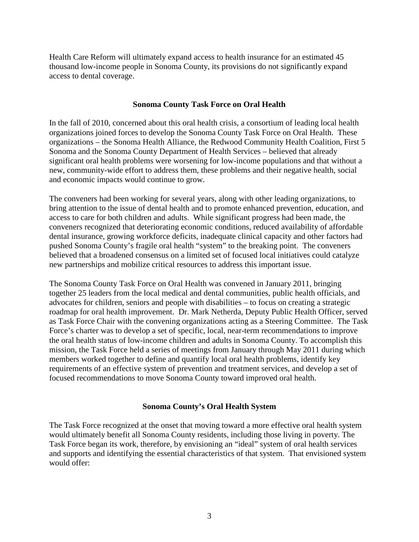Health Care Reform will ultimately expand access to health insurance for an estimated 45 thousand low-income people in Sonoma County, its provisions do not significantly expand access to dental coverage.

#### **Sonoma County Task Force on Oral Health**

In the fall of 2010, concerned about this oral health crisis, a consortium of leading local health organizations joined forces to develop the Sonoma County Task Force on Oral Health. These organizations – the Sonoma Health Alliance, the Redwood Community Health Coalition, First 5 Sonoma and the Sonoma County Department of Health Services – believed that already significant oral health problems were worsening for low-income populations and that without a new, community-wide effort to address them, these problems and their negative health, social and economic impacts would continue to grow.

The conveners had been working for several years, along with other leading organizations, to bring attention to the issue of dental health and to promote enhanced prevention, education, and access to care for both children and adults. While significant progress had been made, the conveners recognized that deteriorating economic conditions, reduced availability of affordable dental insurance, growing workforce deficits, inadequate clinical capacity and other factors had pushed Sonoma County's fragile oral health "system" to the breaking point. The conveners believed that a broadened consensus on a limited set of focused local initiatives could catalyze new partnerships and mobilize critical resources to address this important issue.

The Sonoma County Task Force on Oral Health was convened in January 2011, bringing together 25 leaders from the local medical and dental communities, public health officials, and advocates for children, seniors and people with disabilities – to focus on creating a strategic roadmap for oral health improvement. Dr. Mark Netherda, Deputy Public Health Officer, served as Task Force Chair with the convening organizations acting as a Steering Committee. The Task Force's charter was to develop a set of specific, local, near-term recommendations to improve the oral health status of low-income children and adults in Sonoma County. To accomplish this mission, the Task Force held a series of meetings from January through May 2011 during which members worked together to define and quantify local oral health problems, identify key requirements of an effective system of prevention and treatment services, and develop a set of focused recommendations to move Sonoma County toward improved oral health.

#### **Sonoma County's Oral Health System**

The Task Force recognized at the onset that moving toward a more effective oral health system would ultimately benefit all Sonoma County residents, including those living in poverty. The Task Force began its work, therefore, by envisioning an "ideal" system of oral health services and supports and identifying the essential characteristics of that system. That envisioned system would offer: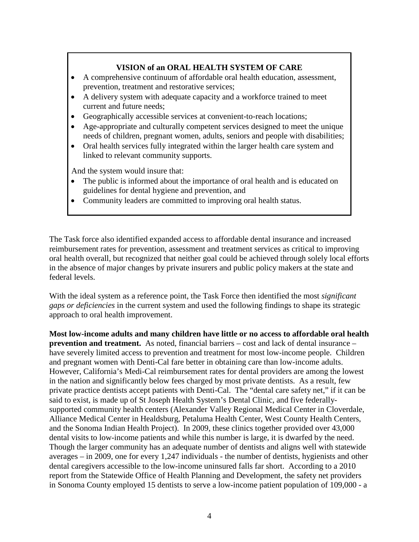## **VISION of an ORAL HEALTH SYSTEM OF CARE**

- A comprehensive continuum of affordable oral health education, assessment, prevention, treatment and restorative services;
- A delivery system with adequate capacity and a workforce trained to meet current and future needs;
- Geographically accessible services at convenient-to-reach locations;
- Age-appropriate and culturally competent services designed to meet the unique needs of children, pregnant women, adults, seniors and people with disabilities;
- Oral health services fully integrated within the larger health care system and linked to relevant community supports.

And the system would insure that:

- The public is informed about the importance of oral health and is educated on guidelines for dental hygiene and prevention, and
- Community leaders are committed to improving oral health status.

The Task force also identified expanded access to affordable dental insurance and increased reimbursement rates for prevention, assessment and treatment services as critical to improving oral health overall, but recognized that neither goal could be achieved through solely local efforts in the absence of major changes by private insurers and public policy makers at the state and federal levels.

With the ideal system as a reference point, the Task Force then identified the most *significant gaps or deficiencies* in the current system and used the following findings to shape its strategic approach to oral health improvement.

**Most low-income adults and many children have little or no access to affordable oral health prevention and treatment.** As noted, financial barriers – cost and lack of dental insurance – have severely limited access to prevention and treatment for most low-income people. Children and pregnant women with Denti-Cal fare better in obtaining care than low-income adults. However, California's Medi-Cal reimbursement rates for dental providers are among the lowest in the nation and significantly below fees charged by most private dentists. As a result, few private practice dentists accept patients with Denti-Cal. The "dental care safety net," if it can be said to exist, is made up of St Joseph Health System's Dental Clinic, and five federallysupported community health centers (Alexander Valley Regional Medical Center in Cloverdale, Alliance Medical Center in Healdsburg, Petaluma Health Center, West County Health Centers, and the Sonoma Indian Health Project). In 2009, these clinics together provided over 43,000 dental visits to low-income patients and while this number is large, it is dwarfed by the need. Though the larger community has an adequate number of dentists and aligns well with statewide averages – in 2009, one for every 1,247 individuals - the number of dentists, hygienists and other dental caregivers accessible to the low-income uninsured falls far short. According to a 2010 report from the Statewide Office of Health Planning and Development, the safety net providers in Sonoma County employed 15 dentists to serve a low-income patient population of 109,000 - a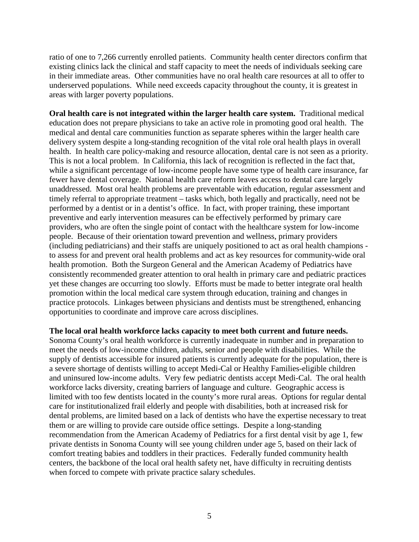ratio of one to 7,266 currently enrolled patients. Community health center directors confirm that existing clinics lack the clinical and staff capacity to meet the needs of individuals seeking care in their immediate areas. Other communities have no oral health care resources at all to offer to underserved populations. While need exceeds capacity throughout the county, it is greatest in areas with larger poverty populations.

**Oral health care is not integrated within the larger health care system.** Traditional medical education does not prepare physicians to take an active role in promoting good oral health. The medical and dental care communities function as separate spheres within the larger health care delivery system despite a long-standing recognition of the vital role oral health plays in overall health. In health care policy-making and resource allocation, dental care is not seen as a priority. This is not a local problem. In California, this lack of recognition is reflected in the fact that, while a significant percentage of low-income people have some type of health care insurance, far fewer have dental coverage. National health care reform leaves access to dental care largely unaddressed. Most oral health problems are preventable with education, regular assessment and timely referral to appropriate treatment – tasks which, both legally and practically, need not be performed by a dentist or in a dentist's office. In fact, with proper training, these important preventive and early intervention measures can be effectively performed by primary care providers, who are often the single point of contact with the healthcare system for low-income people. Because of their orientation toward prevention and wellness, primary providers (including pediatricians) and their staffs are uniquely positioned to act as oral health champions to assess for and prevent oral health problems and act as key resources for community-wide oral health promotion. Both the Surgeon General and the American Academy of Pediatrics have consistently recommended greater attention to oral health in primary care and pediatric practices yet these changes are occurring too slowly. Efforts must be made to better integrate oral health promotion within the local medical care system through education, training and changes in practice protocols. Linkages between physicians and dentists must be strengthened, enhancing opportunities to coordinate and improve care across disciplines.

#### **The local oral health workforce lacks capacity to meet both current and future needs.**

Sonoma County's oral health workforce is currently inadequate in number and in preparation to meet the needs of low-income children, adults, senior and people with disabilities. While the supply of dentists accessible for insured patients is currently adequate for the population, there is a severe shortage of dentists willing to accept Medi-Cal or Healthy Families-eligible children and uninsured low-income adults. Very few pediatric dentists accept Medi-Cal. The oral health workforce lacks diversity, creating barriers of language and culture. Geographic access is limited with too few dentists located in the county's more rural areas. Options for regular dental care for institutionalized frail elderly and people with disabilities, both at increased risk for dental problems, are limited based on a lack of dentists who have the expertise necessary to treat them or are willing to provide care outside office settings. Despite a long-standing recommendation from the American Academy of Pediatrics for a first dental visit by age 1, few private dentists in Sonoma County will see young children under age 5, based on their lack of comfort treating babies and toddlers in their practices. Federally funded community health centers, the backbone of the local oral health safety net, have difficulty in recruiting dentists when forced to compete with private practice salary schedules.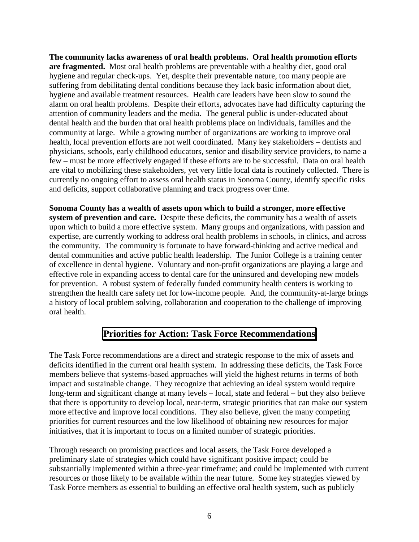**The community lacks awareness of oral health problems. Oral health promotion efforts are fragmented.** Most oral health problems are preventable with a healthy diet, good oral hygiene and regular check-ups. Yet, despite their preventable nature, too many people are suffering from debilitating dental conditions because they lack basic information about diet, hygiene and available treatment resources. Health care leaders have been slow to sound the alarm on oral health problems. Despite their efforts, advocates have had difficulty capturing the attention of community leaders and the media. The general public is under-educated about dental health and the burden that oral health problems place on individuals, families and the community at large. While a growing number of organizations are working to improve oral health, local prevention efforts are not well coordinated. Many key stakeholders – dentists and physicians, schools, early childhood educators, senior and disability service providers, to name a few – must be more effectively engaged if these efforts are to be successful. Data on oral health are vital to mobilizing these stakeholders, yet very little local data is routinely collected. There is currently no ongoing effort to assess oral health status in Sonoma County, identify specific risks and deficits, support collaborative planning and track progress over time.

**Sonoma County has a wealth of assets upon which to build a stronger, more effective system of prevention and care.** Despite these deficits, the community has a wealth of assets upon which to build a more effective system. Many groups and organizations, with passion and expertise, are currently working to address oral health problems in schools, in clinics, and across the community. The community is fortunate to have forward-thinking and active medical and dental communities and active public health leadership. The Junior College is a training center of excellence in dental hygiene. Voluntary and non-profit organizations are playing a large and effective role in expanding access to dental care for the uninsured and developing new models for prevention. A robust system of federally funded community health centers is working to strengthen the health care safety net for low-income people. And, the community-at-large brings a history of local problem solving, collaboration and cooperation to the challenge of improving oral health.

# **Priorities for Action: Task Force Recommendations**

The Task Force recommendations are a direct and strategic response to the mix of assets and deficits identified in the current oral health system. In addressing these deficits, the Task Force members believe that systems-based approaches will yield the highest returns in terms of both impact and sustainable change. They recognize that achieving an ideal system would require long-term and significant change at many levels – local, state and federal – but they also believe that there is opportunity to develop local, near-term, strategic priorities that can make our system more effective and improve local conditions. They also believe, given the many competing priorities for current resources and the low likelihood of obtaining new resources for major initiatives, that it is important to focus on a limited number of strategic priorities.

Through research on promising practices and local assets, the Task Force developed a preliminary slate of strategies which could have significant positive impact; could be substantially implemented within a three-year timeframe; and could be implemented with current resources or those likely to be available within the near future. Some key strategies viewed by Task Force members as essential to building an effective oral health system, such as publicly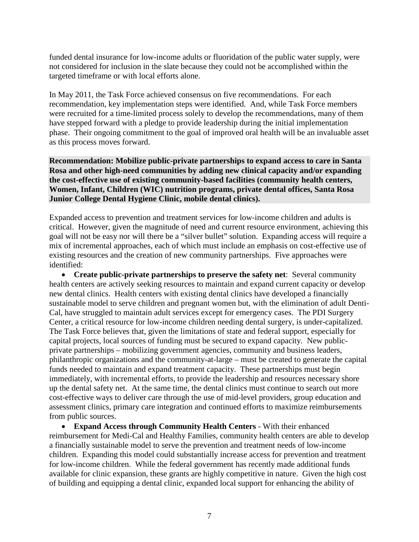funded dental insurance for low-income adults or fluoridation of the public water supply, were not considered for inclusion in the slate because they could not be accomplished within the targeted timeframe or with local efforts alone.

In May 2011, the Task Force achieved consensus on five recommendations. For each recommendation, key implementation steps were identified. And, while Task Force members were recruited for a time-limited process solely to develop the recommendations, many of them have stepped forward with a pledge to provide leadership during the initial implementation phase. Their ongoing commitment to the goal of improved oral health will be an invaluable asset as this process moves forward.

**Recommendation: Mobilize public-private partnerships to expand access to care in Santa Rosa and other high-need communities by adding new clinical capacity and/or expanding the cost-effective use of existing community-based facilities (community health centers, Women, Infant, Children (WIC) nutrition programs, private dental offices, Santa Rosa Junior College Dental Hygiene Clinic, mobile dental clinics).**

Expanded access to prevention and treatment services for low-income children and adults is critical. However, given the magnitude of need and current resource environment, achieving this goal will not be easy nor will there be a "silver bullet" solution. Expanding access will require a mix of incremental approaches, each of which must include an emphasis on cost-effective use of existing resources and the creation of new community partnerships. Five approaches were identified:

• **Create public-private partnerships to preserve the safety net**: Several community health centers are actively seeking resources to maintain and expand current capacity or develop new dental clinics. Health centers with existing dental clinics have developed a financially sustainable model to serve children and pregnant women but, with the elimination of adult Denti-Cal, have struggled to maintain adult services except for emergency cases. The PDI Surgery Center, a critical resource for low-income children needing dental surgery, is under-capitalized. The Task Force believes that, given the limitations of state and federal support, especially for capital projects, local sources of funding must be secured to expand capacity. New publicprivate partnerships – mobilizing government agencies, community and business leaders, philanthropic organizations and the community-at-large – must be created to generate the capital funds needed to maintain and expand treatment capacity. These partnerships must begin immediately, with incremental efforts, to provide the leadership and resources necessary shore up the dental safety net. At the same time, the dental clinics must continue to search out more cost-effective ways to deliver care through the use of mid-level providers, group education and assessment clinics, primary care integration and continued efforts to maximize reimbursements from public sources.

• **Expand Access through Community Health Centers** - With their enhanced reimbursement for Medi-Cal and Healthy Families, community health centers are able to develop a financially sustainable model to serve the prevention and treatment needs of low-income children. Expanding this model could substantially increase access for prevention and treatment for low-income children. While the federal government has recently made additional funds available for clinic expansion, these grants are highly competitive in nature. Given the high cost of building and equipping a dental clinic, expanded local support for enhancing the ability of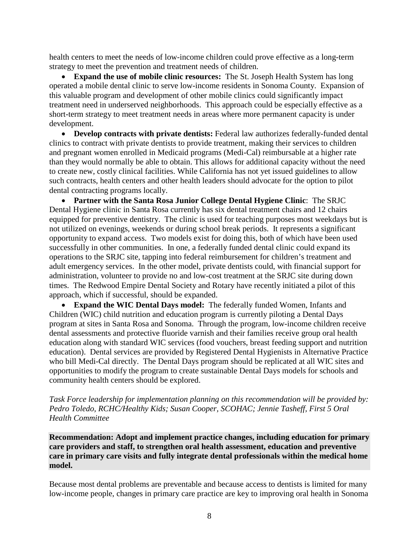health centers to meet the needs of low-income children could prove effective as a long-term strategy to meet the prevention and treatment needs of children.

• **Expand the use of mobile clinic resources:** The St. Joseph Health System has long operated a mobile dental clinic to serve low-income residents in Sonoma County. Expansion of this valuable program and development of other mobile clinics could significantly impact treatment need in underserved neighborhoods. This approach could be especially effective as a short-term strategy to meet treatment needs in areas where more permanent capacity is under development.

• **Develop contracts with private dentists:** Federal law authorizes federally-funded dental clinics to contract with private dentists to provide treatment, making their services to children and pregnant women enrolled in Medicaid programs (Medi-Cal) reimbursable at a higher rate than they would normally be able to obtain. This allows for additional capacity without the need to create new, costly clinical facilities. While California has not yet issued guidelines to allow such contracts, health centers and other health leaders should advocate for the option to pilot dental contracting programs locally.

• **Partner with the Santa Rosa Junior College Dental Hygiene Clinic**: The SRJC Dental Hygiene clinic in Santa Rosa currently has six dental treatment chairs and 12 chairs equipped for preventive dentistry. The clinic is used for teaching purposes most weekdays but is not utilized on evenings, weekends or during school break periods. It represents a significant opportunity to expand access. Two models exist for doing this, both of which have been used successfully in other communities. In one, a federally funded dental clinic could expand its operations to the SRJC site, tapping into federal reimbursement for children's treatment and adult emergency services. In the other model, private dentists could, with financial support for administration, volunteer to provide no and low-cost treatment at the SRJC site during down times. The Redwood Empire Dental Society and Rotary have recently initiated a pilot of this approach, which if successful, should be expanded.

• **Expand the WIC Dental Days model:** The federally funded Women, Infants and Children (WIC) child nutrition and education program is currently piloting a Dental Days program at sites in Santa Rosa and Sonoma. Through the program, low-income children receive dental assessments and protective fluoride varnish and their families receive group oral health education along with standard WIC services (food vouchers, breast feeding support and nutrition education). Dental services are provided by Registered Dental Hygienists in Alternative Practice who bill Medi-Cal directly. The Dental Days program should be replicated at all WIC sites and opportunities to modify the program to create sustainable Dental Days models for schools and community health centers should be explored.

*Task Force leadership for implementation planning on this recommendation will be provided by: Pedro Toledo, RCHC/Healthy Kids; Susan Cooper, SCOHAC; Jennie Tasheff, First 5 Oral Health Committee* 

**Recommendation: Adopt and implement practice changes, including education for primary care providers and staff, to strengthen oral health assessment, education and preventive care in primary care visits and fully integrate dental professionals within the medical home model.** 

Because most dental problems are preventable and because access to dentists is limited for many low-income people, changes in primary care practice are key to improving oral health in Sonoma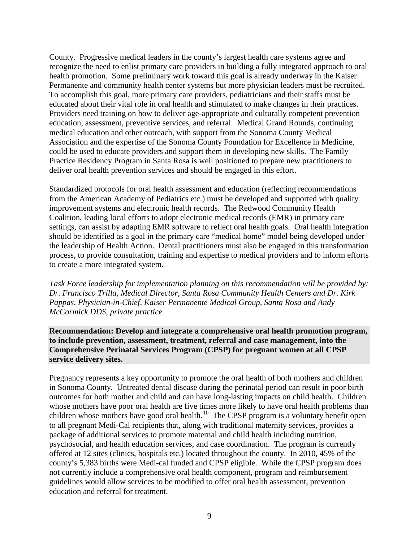County. Progressive medical leaders in the county's largest health care systems agree and recognize the need to enlist primary care providers in building a fully integrated approach to oral health promotion. Some preliminary work toward this goal is already underway in the Kaiser Permanente and community health center systems but more physician leaders must be recruited. To accomplish this goal, more primary care providers, pediatricians and their staffs must be educated about their vital role in oral health and stimulated to make changes in their practices. Providers need training on how to deliver age-appropriate and culturally competent prevention education, assessment, preventive services, and referral. Medical Grand Rounds, continuing medical education and other outreach, with support from the Sonoma County Medical Association and the expertise of the Sonoma County Foundation for Excellence in Medicine, could be used to educate providers and support them in developing new skills. The Family Practice Residency Program in Santa Rosa is well positioned to prepare new practitioners to deliver oral health prevention services and should be engaged in this effort.

Standardized protocols for oral health assessment and education (reflecting recommendations from the American Academy of Pediatrics etc.) must be developed and supported with quality improvement systems and electronic health records. The Redwood Community Health Coalition, leading local efforts to adopt electronic medical records (EMR) in primary care settings, can assist by adapting EMR software to reflect oral health goals. Oral health integration should be identified as a goal in the primary care "medical home" model being developed under the leadership of Health Action. Dental practitioners must also be engaged in this transformation process, to provide consultation, training and expertise to medical providers and to inform efforts to create a more integrated system.

*Task Force leadership for implementation planning on this recommendation will be provided by: Dr. Francisco Trilla, Medical Director, Santa Rosa Community Health Centers and Dr. Kirk Pappas, Physician-in-Chief, Kaiser Permanente Medical Group, Santa Rosa and Andy McCormick DDS, private practice.* 

**Recommendation: Develop and integrate a comprehensive oral health promotion program, to include prevention, assessment, treatment, referral and case management, into the Comprehensive Perinatal Services Program (CPSP) for pregnant women at all CPSP service delivery sites.**

Pregnancy represents a key opportunity to promote the oral health of both mothers and children in Sonoma County. Untreated dental disease during the perinatal period can result in poor birth outcomes for both mother and child and can have long-lasting impacts on child health. Children whose mothers have poor oral health are five times more likely to have oral health problems than children whose mothers have good oral health.<sup>[10](#page-15-9)</sup> The CPSP program is a voluntary benefit open to all pregnant Medi-Cal recipients that, along with traditional maternity services, provides a package of additional services to promote maternal and child health including nutrition, psychosocial, and health education services, and case coordination. The program is currently offered at 12 sites (clinics, hospitals etc.) located throughout the county. In 2010, 45% of the county's 5,383 births were Medi-cal funded and CPSP eligible. While the CPSP program does not currently include a comprehensive oral health component, program and reimbursement guidelines would allow services to be modified to offer oral health assessment, prevention education and referral for treatment.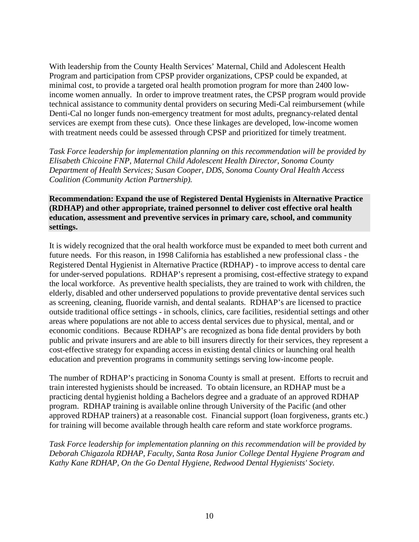With leadership from the County Health Services' Maternal, Child and Adolescent Health Program and participation from CPSP provider organizations, CPSP could be expanded, at minimal cost, to provide a targeted oral health promotion program for more than 2400 lowincome women annually. In order to improve treatment rates, the CPSP program would provide technical assistance to community dental providers on securing Medi-Cal reimbursement (while Denti-Cal no longer funds non-emergency treatment for most adults, pregnancy-related dental services are exempt from these cuts). Once these linkages are developed, low-income women with treatment needs could be assessed through CPSP and prioritized for timely treatment.

*Task Force leadership for implementation planning on this recommendation will be provided by Elisabeth Chicoine FNP, Maternal Child Adolescent Health Director, Sonoma County Department of Health Services; Susan Cooper, DDS, Sonoma County Oral Health Access Coalition (Community Action Partnership).* 

**Recommendation: Expand the use of Registered Dental Hygienists in Alternative Practice (RDHAP) and other appropriate, trained personnel to deliver cost effective oral health education, assessment and preventive services in primary care, school, and community settings.** 

It is widely recognized that the oral health workforce must be expanded to meet both current and future needs. For this reason, in 1998 California has established a new professional class - the Registered Dental Hygienist in Alternative Practice (RDHAP) - to improve access to dental care for under-served populations. RDHAP's represent a promising, cost-effective strategy to expand the local workforce. As preventive health specialists, they are trained to work with children, the elderly, disabled and other underserved populations to provide preventative dental services such as screening, cleaning, fluoride varnish, and dental sealants. RDHAP's are licensed to practice outside traditional office settings - in schools, clinics, care facilities, residential settings and other areas where populations are not able to access dental services due to physical, mental, and or economic conditions. Because RDHAP's are recognized as bona fide dental providers by both public and private insurers and are able to bill insurers directly for their services, they represent a cost-effective strategy for expanding access in existing dental clinics or launching oral health education and prevention programs in community settings serving low-income people.

The number of RDHAP's practicing in Sonoma County is small at present. Efforts to recruit and train interested hygienists should be increased. To obtain licensure, an RDHAP must be a practicing dental hygienist holding a Bachelors degree and a graduate of an approved RDHAP program. RDHAP training is available online through University of the Pacific (and other approved RDHAP trainers) at a reasonable cost. Financial support (loan forgiveness, grants etc.) for training will become available through health care reform and state workforce programs.

*Task Force leadership for implementation planning on this recommendation will be provided by Deborah Chigazola RDHAP, Faculty, Santa Rosa Junior College Dental Hygiene Program and Kathy Kane RDHAP, On the Go Dental Hygiene, Redwood Dental Hygienists' Society.*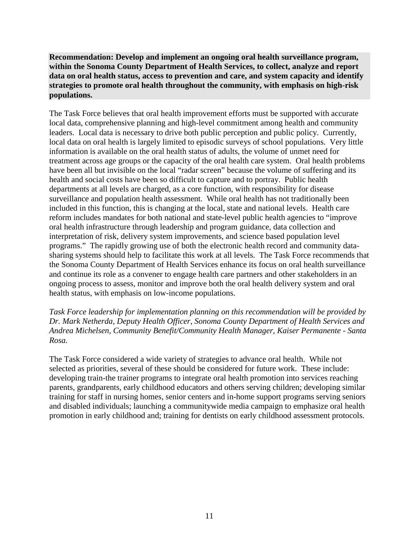**Recommendation: Develop and implement an ongoing oral health surveillance program, within the Sonoma County Department of Health Services, to collect, analyze and report data on oral health status, access to prevention and care, and system capacity and identify strategies to promote oral health throughout the community, with emphasis on high-risk populations.** 

The Task Force believes that oral health improvement efforts must be supported with accurate local data, comprehensive planning and high-level commitment among health and community leaders. Local data is necessary to drive both public perception and public policy. Currently, local data on oral health is largely limited to episodic surveys of school populations. Very little information is available on the oral health status of adults, the volume of unmet need for treatment across age groups or the capacity of the oral health care system. Oral health problems have been all but invisible on the local "radar screen" because the volume of suffering and its health and social costs have been so difficult to capture and to portray. Public health departments at all levels are charged, as a core function, with responsibility for disease surveillance and population health assessment. While oral health has not traditionally been included in this function, this is changing at the local, state and national levels. Health care reform includes mandates for both national and state-level public health agencies to "improve oral health infrastructure through leadership and program guidance, data collection and interpretation of risk, delivery system improvements, and science based population level programs." The rapidly growing use of both the electronic health record and community datasharing systems should help to facilitate this work at all levels. The Task Force recommends that the Sonoma County Department of Health Services enhance its focus on oral health surveillance and continue its role as a convener to engage health care partners and other stakeholders in an ongoing process to assess, monitor and improve both the oral health delivery system and oral health status, with emphasis on low-income populations.

*Task Force leadership for implementation planning on this recommendation will be provided by Dr. Mark Netherda, Deputy Health Officer, Sonoma County Department of Health Services and Andrea Michelsen, Community Benefit/Community Health Manager, Kaiser Permanente - Santa Rosa.* 

The Task Force considered a wide variety of strategies to advance oral health. While not selected as priorities, several of these should be considered for future work. These include: developing train-the trainer programs to integrate oral health promotion into services reaching parents, grandparents, early childhood educators and others serving children; developing similar training for staff in nursing homes, senior centers and in-home support programs serving seniors and disabled individuals; launching a communitywide media campaign to emphasize oral health promotion in early childhood and; training for dentists on early childhood assessment protocols.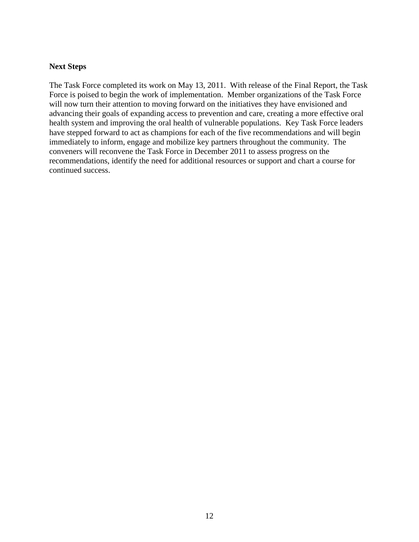#### **Next Steps**

The Task Force completed its work on May 13, 2011. With release of the Final Report, the Task Force is poised to begin the work of implementation. Member organizations of the Task Force will now turn their attention to moving forward on the initiatives they have envisioned and advancing their goals of expanding access to prevention and care, creating a more effective oral health system and improving the oral health of vulnerable populations. Key Task Force leaders have stepped forward to act as champions for each of the five recommendations and will begin immediately to inform, engage and mobilize key partners throughout the community. The conveners will reconvene the Task Force in December 2011 to assess progress on the recommendations, identify the need for additional resources or support and chart a course for continued success.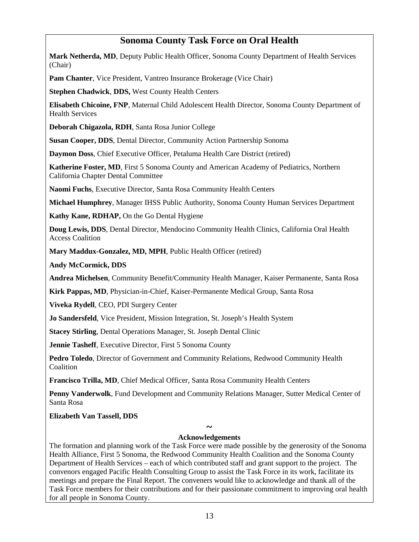## **Sonoma County Task Force on Oral Health**

**Mark Netherda, MD**, Deputy Public Health Officer, Sonoma County Department of Health Services (Chair)

**Pam Chanter**, Vice President, Vantreo Insurance Brokerage (Vice Chair)

**Stephen Chadwick**, **DDS,** West County Health Centers

**Elisabeth Chicoine, FNP**, Maternal Child Adolescent Health Director, Sonoma County Department of Health Services

**Deborah Chigazola, RDH**, Santa Rosa Junior College

**Susan Cooper, DDS**, Dental Director, Community Action Partnership Sonoma

**Daymon Doss**, Chief Executive Officer, Petaluma Health Care District (retired)

**Katherine Foster, MD**, First 5 Sonoma County and American Academy of Pediatrics, Northern California Chapter Dental Committee

**Naomi Fuchs**, Executive Director, Santa Rosa Community Health Centers

**Michael Humphrey**, Manager IHSS Public Authority, Sonoma County Human Services Department

**Kathy Kane, RDHAP,** On the Go Dental Hygiene

**Doug Lewis, DDS**, Dental Director, Mendocino Community Health Clinics, California Oral Health Access Coalition

**Mary Maddux-Gonzalez, MD, MPH**, Public Health Officer (retired)

**Andy McCormick, DDS**

**Andrea Michelsen**, Community Benefit/Community Health Manager, Kaiser Permanente, Santa Rosa

**Kirk Pappas, MD**, Physician-in-Chief, Kaiser-Permanente Medical Group, Santa Rosa

**Viveka Rydell**, CEO, PDI Surgery Center

**Jo Sandersfeld**, Vice President, Mission Integration, St. Joseph's Health System

**Stacey Stirling**, Dental Operations Manager, St. Joseph Dental Clinic

**Jennie Tasheff**, Executive Director, First 5 Sonoma County

**Pedro Toledo**, Director of Government and Community Relations, Redwood Community Health **Coalition** 

**Francisco Trilla, MD**, Chief Medical Officer, Santa Rosa Community Health Centers

**Penny Vanderwolk**, Fund Development and Community Relations Manager, Sutter Medical Center of Santa Rosa

**Elizabeth Van Tassell, DDS**

### **~ Acknowledgements**

The formation and planning work of the Task Force were made possible by the generosity of the Sonoma Health Alliance, First 5 Sonoma, the Redwood Community Health Coalition and the Sonoma County Department of Health Services – each of which contributed staff and grant support to the project. The convenors engaged Pacific Health Consulting Group to assist the Task Force in its work, facilitate its meetings and prepare the Final Report. The conveners would like to acknowledge and thank all of the Task Force members for their contributions and for their passionate commitment to improving oral health for all people in Sonoma County.